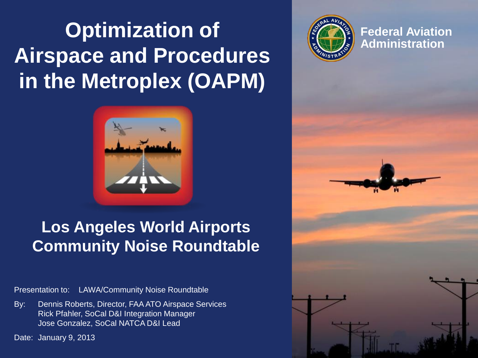#### **Optimization of Airspace and Procedures in the Metroplex (OAPM)**



**Federal Aviation Administration**

**Federal Aviation Administration 1**



#### **Los Angeles World Airports Community Noise Roundtable**

Presentation to: LAWA/Community Noise Roundtable

By: Dennis Roberts, Director, FAA ATO Airspace Services Rick Pfahler, SoCal D&I Integration Manager Jose Gonzalez, SoCal NATCA D&I Lead

Date: January 9, 2013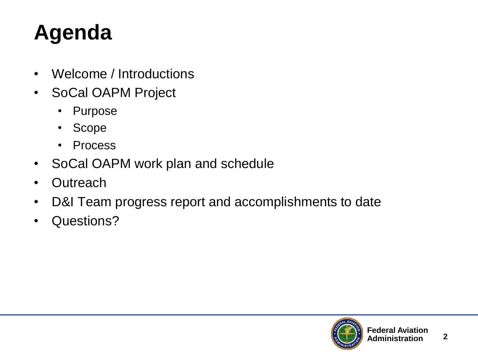## **Agenda**

- Welcome / Introductions
- SoCal OAPM Project
	- Purpose
	- Scope
	- Process
- SoCal OAPM work plan and schedule
- Outreach
- D&I Team progress report and accomplishments to date
- Questions?

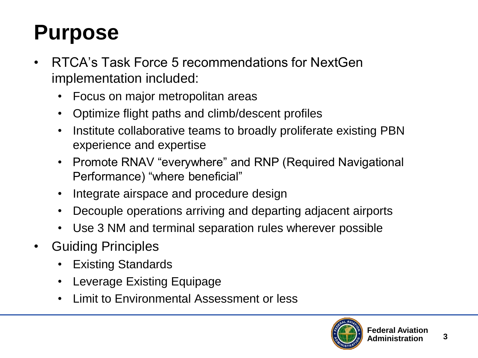### **Purpose**

- RTCA's Task Force 5 recommendations for NextGen implementation included:
	- Focus on major metropolitan areas
	- Optimize flight paths and climb/descent profiles
	- Institute collaborative teams to broadly proliferate existing PBN experience and expertise
	- Promote RNAV "everywhere" and RNP (Required Navigational Performance) "where beneficial"
	- Integrate airspace and procedure design
	- Decouple operations arriving and departing adjacent airports
	- Use 3 NM and terminal separation rules wherever possible
- Guiding Principles
	- Existing Standards
	- Leverage Existing Equipage
	- Limit to Environmental Assessment or less

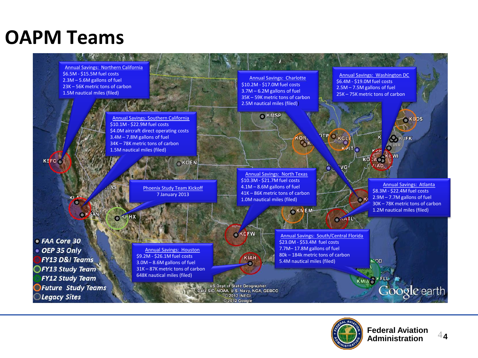#### **OAPM Teams**



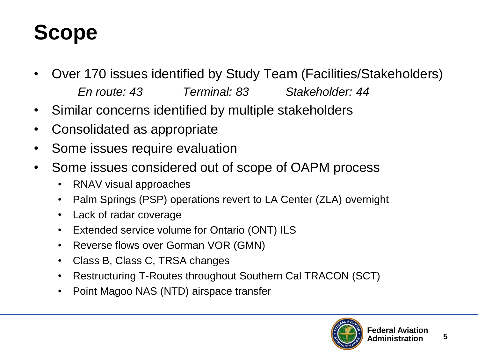## **Scope**

- Over 170 issues identified by Study Team (Facilities/Stakeholders) *En route: 43 Terminal: 83 Stakeholder: 44*
- Similar concerns identified by multiple stakeholders
- Consolidated as appropriate
- Some issues require evaluation
- Some issues considered out of scope of OAPM process
	- RNAV visual approaches
	- Palm Springs (PSP) operations revert to LA Center (ZLA) overnight
	- Lack of radar coverage
	- Extended service volume for Ontario (ONT) ILS
	- Reverse flows over Gorman VOR (GMN)
	- Class B, Class C, TRSA changes
	- Restructuring T-Routes throughout Southern Cal TRACON (SCT)
	- Point Magoo NAS (NTD) airspace transfer

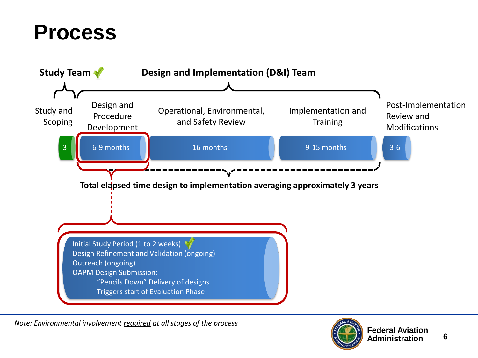#### **Process**



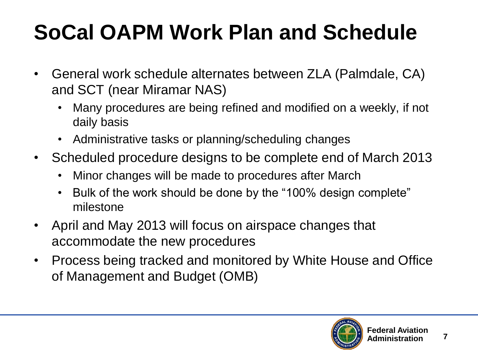# **SoCal OAPM Work Plan and Schedule**

- General work schedule alternates between ZLA (Palmdale, CA) and SCT (near Miramar NAS)
	- Many procedures are being refined and modified on a weekly, if not daily basis
	- Administrative tasks or planning/scheduling changes
- Scheduled procedure designs to be complete end of March 2013
	- Minor changes will be made to procedures after March
	- Bulk of the work should be done by the "100% design complete" milestone
- April and May 2013 will focus on airspace changes that accommodate the new procedures
- Process being tracked and monitored by White House and Office of Management and Budget (OMB)

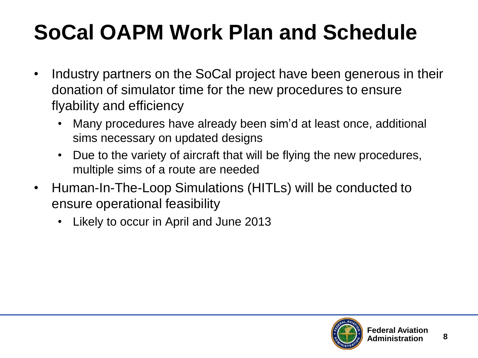# **SoCal OAPM Work Plan and Schedule**

- Industry partners on the SoCal project have been generous in their donation of simulator time for the new procedures to ensure flyability and efficiency
	- Many procedures have already been sim'd at least once, additional sims necessary on updated designs
	- Due to the variety of aircraft that will be flying the new procedures, multiple sims of a route are needed
- Human-In-The-Loop Simulations (HITLs) will be conducted to ensure operational feasibility
	- Likely to occur in April and June 2013

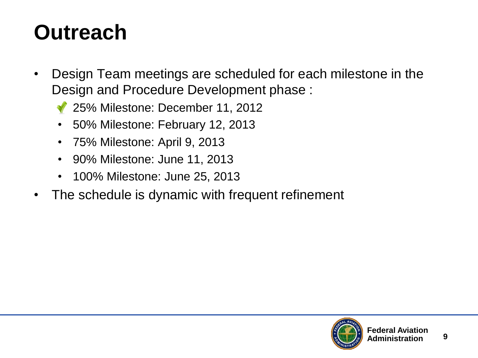#### **Outreach**

- Design Team meetings are scheduled for each milestone in the Design and Procedure Development phase :
	- 25% Milestone: December 11, 2012
	- 50% Milestone: February 12, 2013
	- 75% Milestone: April 9, 2013
	- 90% Milestone: June 11, 2013
	- 100% Milestone: June 25, 2013
- The schedule is dynamic with frequent refinement

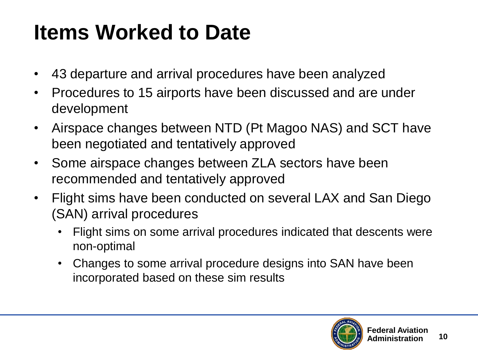### **Items Worked to Date**

- 43 departure and arrival procedures have been analyzed
- Procedures to 15 airports have been discussed and are under development
- Airspace changes between NTD (Pt Magoo NAS) and SCT have been negotiated and tentatively approved
- Some airspace changes between ZLA sectors have been recommended and tentatively approved
- Flight sims have been conducted on several LAX and San Diego (SAN) arrival procedures
	- Flight sims on some arrival procedures indicated that descents were non-optimal
	- Changes to some arrival procedure designs into SAN have been incorporated based on these sim results